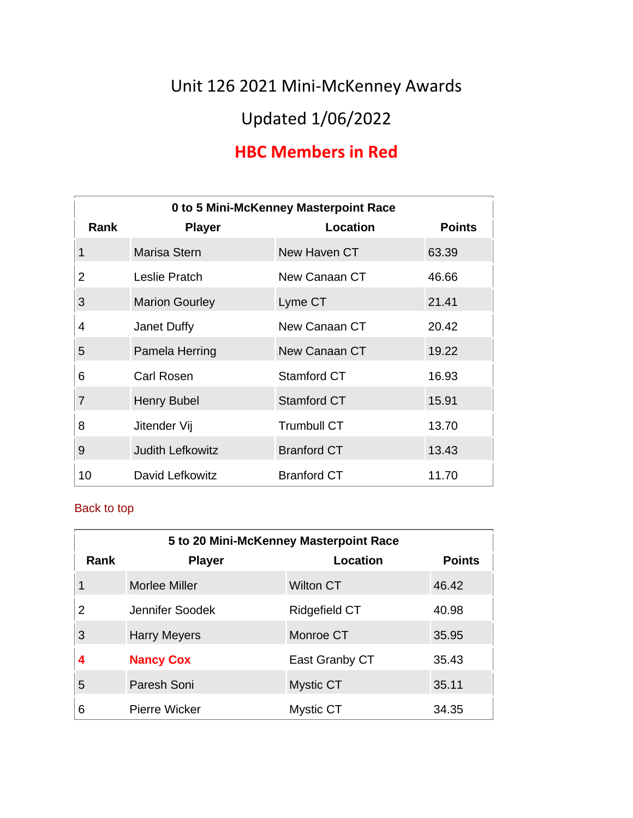Unit 126 2021 Mini-McKenney Awards

# Updated 1/06/2022

# **HBC Members in Red**

| 0 to 5 Mini-McKenney Masterpoint Race |                         |                    |               |
|---------------------------------------|-------------------------|--------------------|---------------|
| Rank                                  | <b>Player</b>           | Location           | <b>Points</b> |
| 1                                     | Marisa Stern            | New Haven CT       | 63.39         |
| $\overline{2}$                        | Leslie Pratch           | New Canaan CT      | 46.66         |
| 3                                     | <b>Marion Gourley</b>   | Lyme CT            | 21.41         |
| 4                                     | Janet Duffy             | New Canaan CT      | 20.42         |
| 5                                     | Pamela Herring          | New Canaan CT      | 19.22         |
| 6                                     | Carl Rosen              | Stamford CT        | 16.93         |
| $\overline{7}$                        | Henry Bubel             | <b>Stamford CT</b> | 15.91         |
| 8                                     | Jitender Vij            | <b>Trumbull CT</b> | 13.70         |
| 9                                     | <b>Judith Lefkowitz</b> | <b>Branford CT</b> | 13.43         |
| 10                                    | David Lefkowitz         | <b>Branford CT</b> | 11.70         |

| 5 to 20 Mini-McKenney Masterpoint Race |                      |                  |               |
|----------------------------------------|----------------------|------------------|---------------|
| Rank                                   | <b>Player</b>        | Location         | <b>Points</b> |
|                                        | <b>Morlee Miller</b> | <b>Wilton CT</b> | 46.42         |
| 2                                      | Jennifer Soodek      | Ridgefield CT    | 40.98         |
| 3                                      | <b>Harry Meyers</b>  | Monroe CT        | 35.95         |
| 4                                      | <b>Nancy Cox</b>     | East Granby CT   | 35.43         |
| 5                                      | Paresh Soni          | Mystic CT        | 35.11         |
| 6                                      | <b>Pierre Wicker</b> | <b>Mystic CT</b> | 34.35         |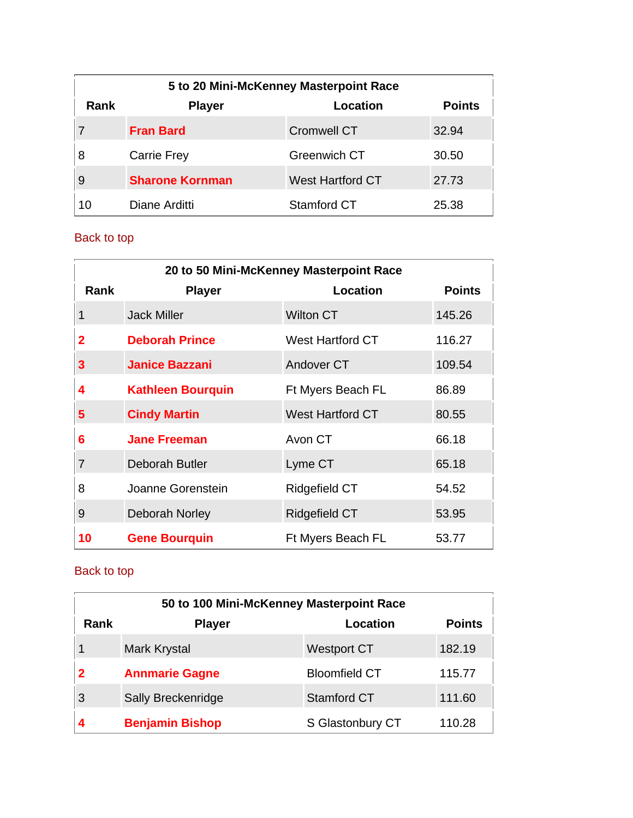| 5 to 20 Mini-McKenney Masterpoint Race |                                            |                         |       |  |  |
|----------------------------------------|--------------------------------------------|-------------------------|-------|--|--|
| Rank                                   | <b>Points</b><br>Location<br><b>Player</b> |                         |       |  |  |
|                                        | <b>Fran Bard</b>                           | <b>Cromwell CT</b>      | 32.94 |  |  |
| 8                                      | <b>Carrie Frey</b>                         | <b>Greenwich CT</b>     | 30.50 |  |  |
| 9                                      | <b>Sharone Kornman</b>                     | <b>West Hartford CT</b> | 27.73 |  |  |
| 10                                     | Diane Arditti                              | Stamford CT             | 25.38 |  |  |

| 20 to 50 Mini-McKenney Masterpoint Race |                          |                         |               |
|-----------------------------------------|--------------------------|-------------------------|---------------|
| Rank                                    | <b>Player</b>            | Location                | <b>Points</b> |
| 1                                       | <b>Jack Miller</b>       | <b>Wilton CT</b>        | 145.26        |
| 2                                       | <b>Deborah Prince</b>    | <b>West Hartford CT</b> | 116.27        |
| 3                                       | <b>Janice Bazzani</b>    | Andover CT              | 109.54        |
| 4                                       | <b>Kathleen Bourguin</b> | Ft Myers Beach FL       | 86.89         |
| 5                                       | <b>Cindy Martin</b>      | <b>West Hartford CT</b> | 80.55         |
| 6                                       | <b>Jane Freeman</b>      | Avon CT                 | 66.18         |
| $\overline{7}$                          | Deborah Butler           | Lyme CT                 | 65.18         |
| 8                                       | Joanne Gorenstein        | <b>Ridgefield CT</b>    | 54.52         |
| 9                                       | Deborah Norley           | Ridgefield CT           | 53.95         |
| 10                                      | <b>Gene Bourquin</b>     | Ft Myers Beach FL       | 53.77         |

| 50 to 100 Mini-McKenney Masterpoint Race |                        |                      |               |
|------------------------------------------|------------------------|----------------------|---------------|
| Rank                                     | <b>Player</b>          | Location             | <b>Points</b> |
|                                          | Mark Krystal           | <b>Westport CT</b>   | 182.19        |
| 2                                        | <b>Annmarie Gagne</b>  | <b>Bloomfield CT</b> | 115.77        |
| 3                                        | Sally Breckenridge     | <b>Stamford CT</b>   | 111.60        |
|                                          | <b>Benjamin Bishop</b> | S Glastonbury CT     | 110.28        |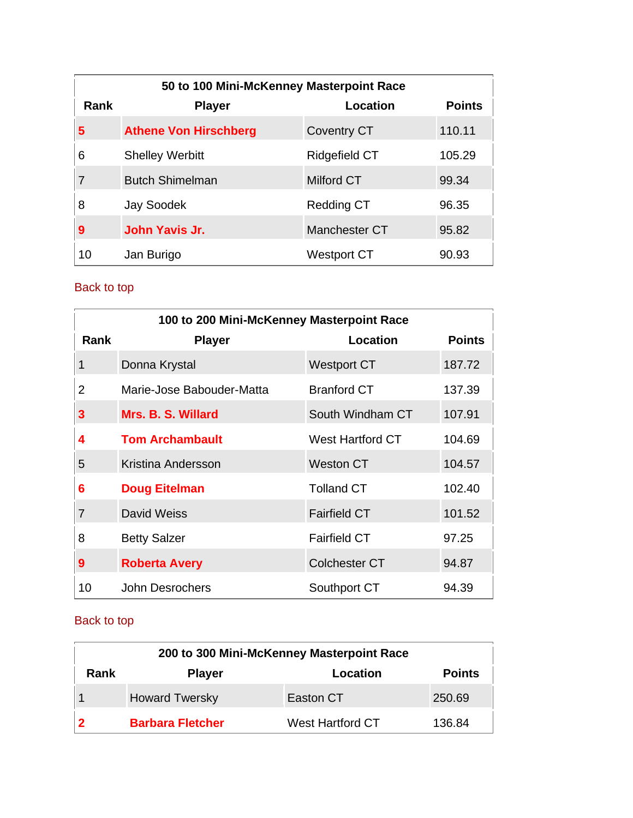| 50 to 100 Mini-McKenney Masterpoint Race |                              |                      |               |
|------------------------------------------|------------------------------|----------------------|---------------|
| Rank                                     | <b>Player</b>                | Location             | <b>Points</b> |
| 5                                        | <b>Athene Von Hirschberg</b> | <b>Coventry CT</b>   | 110.11        |
| 6                                        | <b>Shelley Werbitt</b>       | <b>Ridgefield CT</b> | 105.29        |
| $\overline{7}$                           | <b>Butch Shimelman</b>       | <b>Milford CT</b>    | 99.34         |
| 8                                        | Jay Soodek                   | <b>Redding CT</b>    | 96.35         |
| 9                                        | John Yavis Jr.               | Manchester CT        | 95.82         |
| 10                                       | Jan Burigo                   | Westport CT          | 90.93         |

| 100 to 200 Mini-McKenney Masterpoint Race |                           |                      |               |
|-------------------------------------------|---------------------------|----------------------|---------------|
| Rank                                      | <b>Player</b>             | Location             | <b>Points</b> |
| 1                                         | Donna Krystal             | <b>Westport CT</b>   | 187.72        |
| 2                                         | Marie-Jose Babouder-Matta | <b>Branford CT</b>   | 137.39        |
| 3                                         | Mrs. B. S. Willard        | South Windham CT     | 107.91        |
| 4                                         | <b>Tom Archambault</b>    | West Hartford CT     | 104.69        |
| 5                                         | Kristina Andersson        | Weston CT            | 104.57        |
| 6                                         | <b>Doug Eitelman</b>      | <b>Tolland CT</b>    | 102.40        |
| $\overline{7}$                            | David Weiss               | <b>Fairfield CT</b>  | 101.52        |
| 8                                         | <b>Betty Salzer</b>       | <b>Fairfield CT</b>  | 97.25         |
| 9                                         | <b>Roberta Avery</b>      | <b>Colchester CT</b> | 94.87         |
| 10                                        | John Desrochers           | Southport CT         | 94.39         |

| 200 to 300 Mini-McKenney Masterpoint Race |                                            |                         |        |  |  |
|-------------------------------------------|--------------------------------------------|-------------------------|--------|--|--|
| Rank                                      | <b>Points</b><br><b>Player</b><br>Location |                         |        |  |  |
|                                           | <b>Howard Twersky</b>                      | Easton CT               | 250.69 |  |  |
|                                           | <b>Barbara Fletcher</b>                    | <b>West Hartford CT</b> | 136.84 |  |  |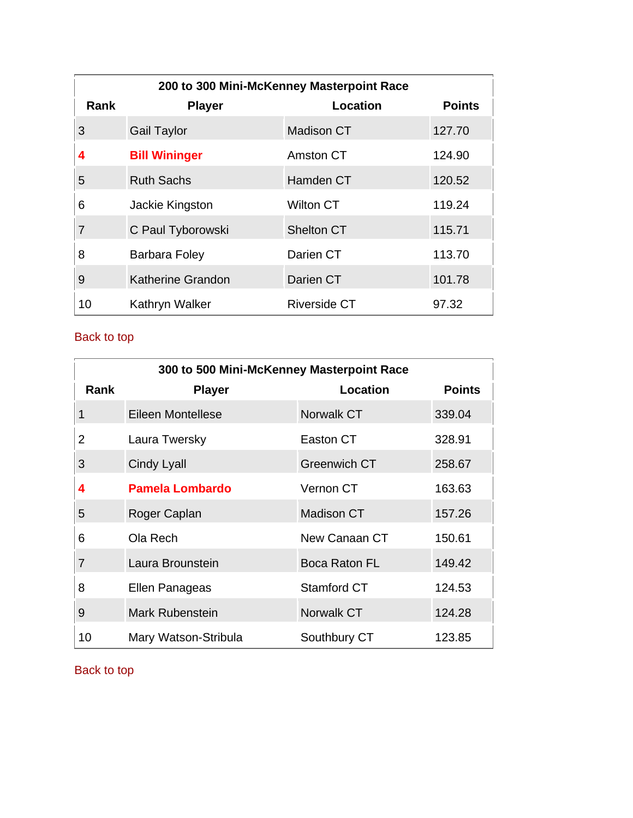| 200 to 300 Mini-McKenney Masterpoint Race |                          |                     |               |
|-------------------------------------------|--------------------------|---------------------|---------------|
| Rank                                      | <b>Player</b>            | Location            | <b>Points</b> |
| 3                                         | <b>Gail Taylor</b>       | <b>Madison CT</b>   | 127.70        |
| 4                                         | <b>Bill Wininger</b>     | Amston CT           | 124.90        |
| 5                                         | <b>Ruth Sachs</b>        | <b>Hamden CT</b>    | 120.52        |
| 6                                         | Jackie Kingston          | Wilton CT           | 119.24        |
| $\overline{7}$                            | C Paul Tyborowski        | <b>Shelton CT</b>   | 115.71        |
| 8                                         | Barbara Foley            | Darien CT           | 113.70        |
| 9                                         | <b>Katherine Grandon</b> | Darien CT           | 101.78        |
| 10                                        | Kathryn Walker           | <b>Riverside CT</b> | 97.32         |

|                | 300 to 500 Mini-McKenney Masterpoint Race |                      |               |  |
|----------------|-------------------------------------------|----------------------|---------------|--|
| <b>Rank</b>    | <b>Player</b>                             | Location             | <b>Points</b> |  |
| 1              | Eileen Montellese                         | <b>Norwalk CT</b>    | 339.04        |  |
| $\overline{2}$ | Laura Twersky                             | Easton CT            | 328.91        |  |
| 3              | <b>Cindy Lyall</b>                        | <b>Greenwich CT</b>  | 258.67        |  |
| 4              | <b>Pamela Lombardo</b>                    | Vernon CT            | 163.63        |  |
| 5              | Roger Caplan                              | <b>Madison CT</b>    | 157.26        |  |
| 6              | Ola Rech                                  | New Canaan CT        | 150.61        |  |
| $\overline{7}$ | Laura Brounstein                          | <b>Boca Raton FL</b> | 149.42        |  |
| 8              | Ellen Panageas                            | Stamford CT          | 124.53        |  |
| 9              | <b>Mark Rubenstein</b>                    | Norwalk CT           | 124.28        |  |
| 10             | Mary Watson-Stribula                      | Southbury CT         | 123.85        |  |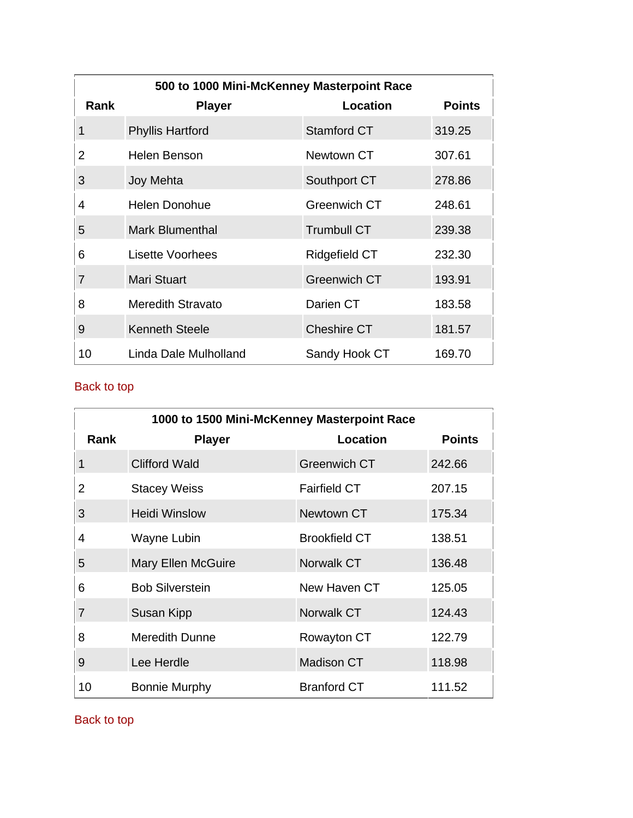| 500 to 1000 Mini-McKenney Masterpoint Race |                          |                     |               |
|--------------------------------------------|--------------------------|---------------------|---------------|
| Rank                                       | <b>Player</b>            | Location            | <b>Points</b> |
| 1                                          | <b>Phyllis Hartford</b>  | <b>Stamford CT</b>  | 319.25        |
| 2                                          | Helen Benson             | Newtown CT          | 307.61        |
| 3                                          | Joy Mehta                | Southport CT        | 278.86        |
| 4                                          | Helen Donohue            | Greenwich CT        | 248.61        |
| 5                                          | <b>Mark Blumenthal</b>   | <b>Trumbull CT</b>  | 239.38        |
| 6                                          | <b>Lisette Voorhees</b>  | Ridgefield CT       | 232.30        |
| $\overline{7}$                             | <b>Mari Stuart</b>       | <b>Greenwich CT</b> | 193.91        |
| 8                                          | <b>Meredith Stravato</b> | Darien CT           | 183.58        |
| 9                                          | <b>Kenneth Steele</b>    | <b>Cheshire CT</b>  | 181.57        |
| 10                                         | Linda Dale Mulholland    | Sandy Hook CT       | 169.70        |

|             | 1000 to 1500 Mini-McKenney Masterpoint Race |                      |               |  |
|-------------|---------------------------------------------|----------------------|---------------|--|
| <b>Rank</b> | <b>Player</b>                               | Location             | <b>Points</b> |  |
| 1           | <b>Clifford Wald</b>                        | <b>Greenwich CT</b>  | 242.66        |  |
| 2           | <b>Stacey Weiss</b>                         | <b>Fairfield CT</b>  | 207.15        |  |
| 3           | Heidi Winslow                               | Newtown CT           | 175.34        |  |
| 4           | Wayne Lubin                                 | <b>Brookfield CT</b> | 138.51        |  |
| 5           | <b>Mary Ellen McGuire</b>                   | Norwalk CT           | 136.48        |  |
| 6           | <b>Bob Silverstein</b>                      | New Haven CT         | 125.05        |  |
| 7           | Susan Kipp                                  | Norwalk CT           | 124.43        |  |
| 8           | Meredith Dunne                              | Rowayton CT          | 122.79        |  |
| 9           | Lee Herdle                                  | <b>Madison CT</b>    | 118.98        |  |
| 10          | <b>Bonnie Murphy</b>                        | <b>Branford CT</b>   | 111.52        |  |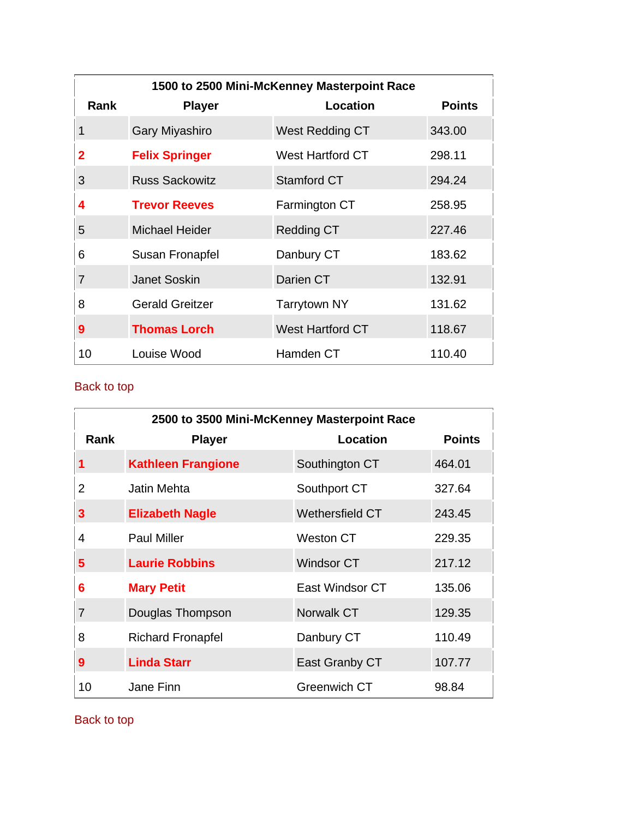| 1500 to 2500 Mini-McKenney Masterpoint Race |                        |                         |               |
|---------------------------------------------|------------------------|-------------------------|---------------|
| <b>Rank</b>                                 | <b>Player</b>          | <b>Location</b>         | <b>Points</b> |
| 1                                           | Gary Miyashiro         | West Redding CT         | 343.00        |
| $\overline{2}$                              | <b>Felix Springer</b>  | <b>West Hartford CT</b> | 298.11        |
| 3                                           | <b>Russ Sackowitz</b>  | <b>Stamford CT</b>      | 294.24        |
| 4                                           | <b>Trevor Reeves</b>   | Farmington CT           | 258.95        |
| 5                                           | <b>Michael Heider</b>  | <b>Redding CT</b>       | 227.46        |
| 6                                           | Susan Fronapfel        | Danbury CT              | 183.62        |
| 7                                           | <b>Janet Soskin</b>    | Darien CT               | 132.91        |
| 8                                           | <b>Gerald Greitzer</b> | <b>Tarrytown NY</b>     | 131.62        |
| 9                                           | <b>Thomas Lorch</b>    | <b>West Hartford CT</b> | 118.67        |
| 10                                          | Louise Wood            | Hamden CT               | 110.40        |

| 2500 to 3500 Mini-McKenney Masterpoint Race |                           |                     |               |
|---------------------------------------------|---------------------------|---------------------|---------------|
| Rank                                        | <b>Player</b>             | Location            | <b>Points</b> |
| 1                                           | <b>Kathleen Frangione</b> | Southington CT      | 464.01        |
| 2                                           | <b>Jatin Mehta</b>        | Southport CT        | 327.64        |
| 3                                           | <b>Elizabeth Nagle</b>    | Wethersfield CT     | 243.45        |
| 4                                           | <b>Paul Miller</b>        | <b>Weston CT</b>    | 229.35        |
| 5                                           | <b>Laurie Robbins</b>     | Windsor CT          | 217.12        |
| 6                                           | <b>Mary Petit</b>         | East Windsor CT     | 135.06        |
| 7                                           | Douglas Thompson          | <b>Norwalk CT</b>   | 129.35        |
| 8                                           | <b>Richard Fronapfel</b>  | Danbury CT          | 110.49        |
| 9                                           | <b>Linda Starr</b>        | East Granby CT      | 107.77        |
| 10                                          | Jane Finn                 | <b>Greenwich CT</b> | 98.84         |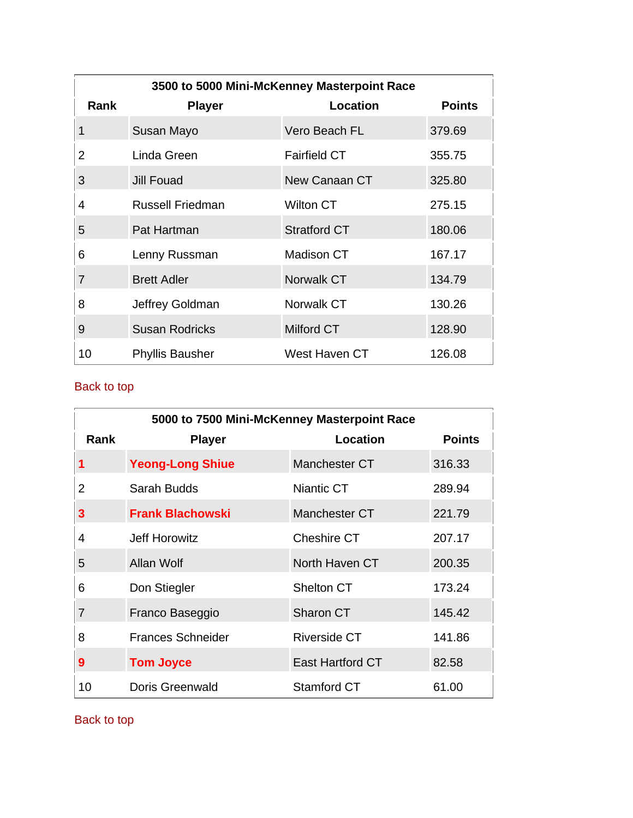| 3500 to 5000 Mini-McKenney Masterpoint Race |                        |                     |               |
|---------------------------------------------|------------------------|---------------------|---------------|
| Rank                                        | <b>Player</b>          | Location            | <b>Points</b> |
| 1                                           | Susan Mayo             | Vero Beach FL       | 379.69        |
| 2                                           | Linda Green            | <b>Fairfield CT</b> | 355.75        |
| 3                                           | Jill Fouad             | New Canaan CT       | 325.80        |
| 4                                           | Russell Friedman       | Wilton CT           | 275.15        |
| 5                                           | Pat Hartman            | <b>Stratford CT</b> | 180.06        |
| 6                                           | Lenny Russman          | Madison CT          | 167.17        |
| $\overline{7}$                              | <b>Brett Adler</b>     | Norwalk CT          | 134.79        |
| 8                                           | Jeffrey Goldman        | Norwalk CT          | 130.26        |
| 9                                           | <b>Susan Rodricks</b>  | Milford CT          | 128.90        |
| 10                                          | <b>Phyllis Bausher</b> | West Haven CT       | 126.08        |

| 5000 to 7500 Mini-McKenney Masterpoint Race |                          |                  |               |
|---------------------------------------------|--------------------------|------------------|---------------|
| Rank                                        | <b>Player</b>            | Location         | <b>Points</b> |
| 1                                           | <b>Yeong-Long Shiue</b>  | Manchester CT    | 316.33        |
| 2                                           | Sarah Budds              | Niantic CT       | 289.94        |
| 3                                           | <b>Frank Blachowski</b>  | Manchester CT    | 221.79        |
| 4                                           | Jeff Horowitz            | Cheshire CT      | 207.17        |
| 5                                           | Allan Wolf               | North Haven CT   | 200.35        |
| 6                                           | Don Stiegler             | Shelton CT       | 173.24        |
| $\overline{7}$                              | Franco Baseggio          | Sharon CT        | 145.42        |
| 8                                           | <b>Frances Schneider</b> | Riverside CT     | 141.86        |
| 9                                           | <b>Tom Joyce</b>         | East Hartford CT | 82.58         |
| 10                                          | Doris Greenwald          | Stamford CT      | 61.00         |